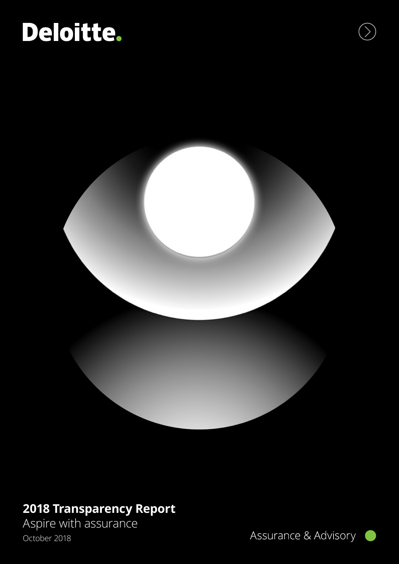### Deloitte.



### **2018 Transparency Report**

Aspire with assurance October 2018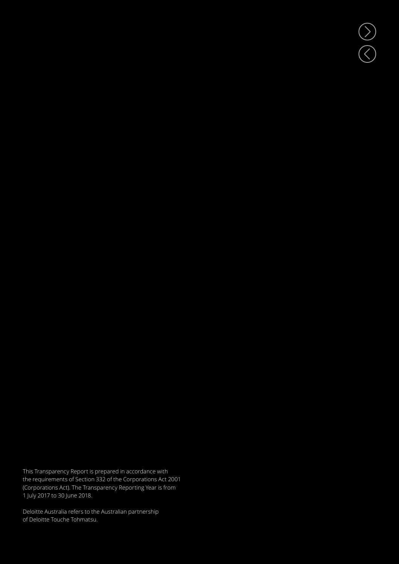$\begin{matrix} \bigcirc \\ \bigcirc \end{matrix}$ 

This Transparency Report is prepared in accordance with the requirements of Section 332 of the Corporations Act 2001 (Corporations Act). The Transparency Reporting Year is from 1 July 2017 to 30 June 2018.

Deloitte Australia refers to the Australian partnership of Deloitte Touche Tohmatsu.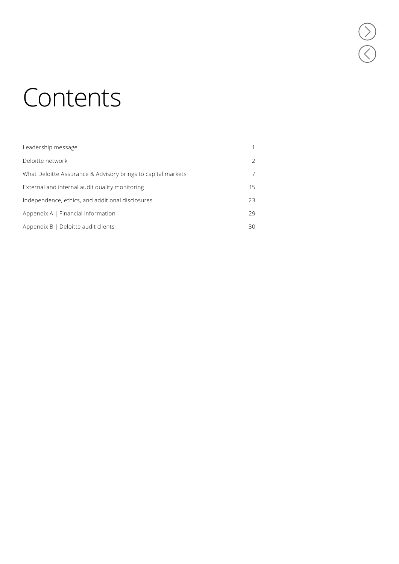### <span id="page-2-0"></span>Contents

| Leadership message                                           |     |
|--------------------------------------------------------------|-----|
| Deloitte network                                             | 2   |
| What Deloitte Assurance & Advisory brings to capital markets | 7   |
| External and internal audit quality monitoring               | 15  |
| Independence, ethics, and additional disclosures             | 23  |
| Appendix A   Financial information                           | 29  |
| Appendix B   Deloitte audit clients                          | 30. |

 $\odot$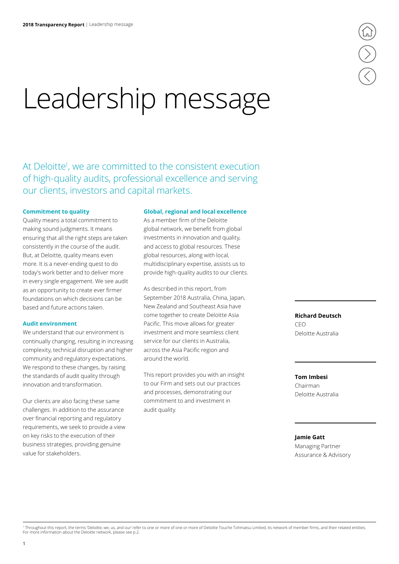# <span id="page-3-0"></span>Leadership message

At Deloitte<sup>1</sup>, we are committed to the consistent execution of high-quality audits, professional excellence and serving our clients, investors and capital markets.

### **Commitment to quality**

Quality means a total commitment to making sound judgments. It means ensuring that all the right steps are taken consistently in the course of the audit. But, at Deloitte, quality means even more. It is a never-ending quest to do today's work better and to deliver more in every single engagement. We see audit as an opportunity to create ever firmer foundations on which decisions can be based and future actions taken.

### **Audit environment**

We understand that our environment is continually changing, resulting in increasing complexity, technical disruption and higher community and regulatory expectations. We respond to these changes, by raising the standards of audit quality through innovation and transformation.

Our clients are also facing these same challenges. In addition to the assurance over financial reporting and regulatory requirements, we seek to provide a view on key risks to the execution of their business strategies, providing genuine value for stakeholders.

#### **Global, regional and local excellence**

As a member firm of the Deloitte global network, we benefit from global investments in innovation and quality, and access to global resources. These global resources, along with local, multidisciplinary expertise, assists us to provide high-quality audits to our clients.

As described in this report, from September 2018 Australia, China, Japan, New Zealand and Southeast Asia have come together to create Deloitte Asia Pacific. This move allows for greater investment and more seamless client service for our clients in Australia, across the Asia Pacific region and around the world.

This report provides you with an insight to our Firm and sets out our practices and processes, demonstrating our commitment to and investment in audit quality.

**Richard Deutsch** CEO Deloitte Australia

**Tom Imbesi** Chairman Deloitte Australia

**Jamie Gatt** Managing Partner Assurance & Advisory

1 Throughout this report, the terms 'Deloitte, we, us, and our' refer to one or more of one or more of Deloitte Touche Tohmatsu Limited, its network of member firms, and their related entities. For more information about the Deloitte network, please see p.2.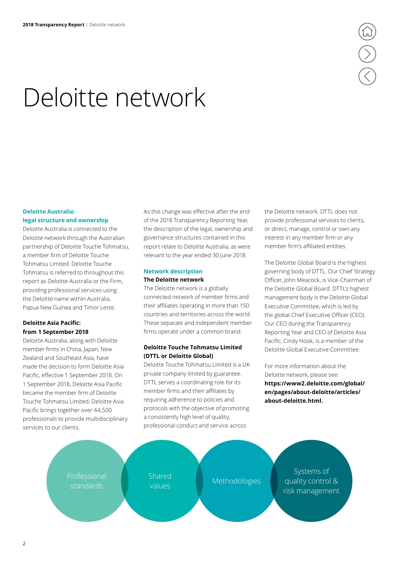### <span id="page-4-0"></span>Deloitte network

### **Deloitte Australia: legal structure and ownership**

Deloitte Australia is connected to the Deloitte network through the Australian partnership of Deloitte Touche Tohmatsu, a member firm of Deloitte Touche Tohmatsu Limited. Deloitte Touche Tohmatsu is referred to throughout this report as Deloitte Australia or the Firm, providing professional services using the Deloitte name within Australia, Papua New Guinea and Timor Leste.

### **Deloitte Asia Pacific: from 1 September 2018**

Deloitte Australia, along with Deloitte member firms in China, Japan, New Zealand and Southeast Asia, have made the decision to form Deloitte Asia Pacific, effective 1 September 2018. On 1 September 2018, Deloitte Asia Pacific became the member firm of Deloitte Touche Tohmatsu Limited. Deloitte Asia Pacific brings together over 44,500 professionals to provide multidisciplinary services to our clients.

As this change was effective after the end of the 2018 Transparency Reporting Year, the description of the legal, ownership and governance structures contained in this report relate to Deloitte Australia, as were relevant to the year ended 30 June 2018.

### **Network description The Deloitte network**

The Deloitte network is a globally connected network of member firms and their affiliates operating in more than 150 countries and territories across the world. These separate and independent member firms operate under a common brand.

### **Deloitte Touche Tohmatsu Limited (DTTL or Deloitte Global)**

Deloitte Touche Tohmatsu Limited is a UK private company limited by guarantee. DTTL serves a coordinating role for its member firms and their affiliates by requiring adherence to policies and protocols with the objective of promoting a consistently high level of quality, professional conduct and service across

the Deloitte network. DTTL does not provide professional services to clients, or direct, manage, control or own any interest in any member firm or any member firm's affiliated entities.

The Deloitte Global Board is the highest governing body of DTTL. Our Chief Strategy Officer, John Meacock, is Vice-Chairman of the Deloitte Global Board. DTTL's highest management body is the Deloitte Global Executive Committee, which is led by the global Chief Executive Officer (CEO). Our CEO during the Transparency Reporting Year and CEO of Deloitte Asia Pacific, Cindy Hook, is a member of the Deloitte Global Executive Committee.

For more information about the Deloitte network, please see: **[https://www2.deloitte.com/global/](https://www2.deloitte.com/global/en/pages/about-deloitte/articles/about-deloitte.html) [en/pages/about-deloitte/articles/](https://www2.deloitte.com/global/en/pages/about-deloitte/articles/about-deloitte.html) [about-deloitte.html.](https://www2.deloitte.com/global/en/pages/about-deloitte/articles/about-deloitte.html)**

Professional standards

Shared values

Methodologies

Systems of quality control & risk management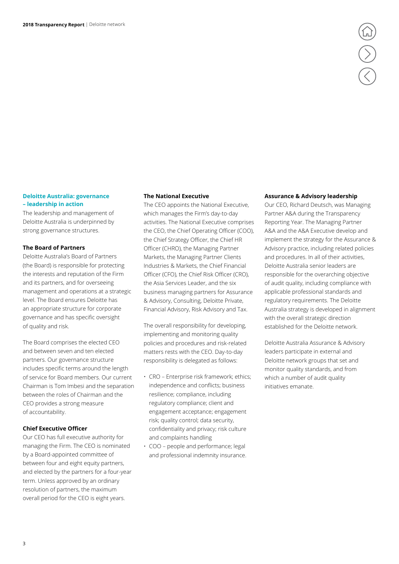### **Deloitte Australia: governance – leadership in action**

The leadership and management of Deloitte Australia is underpinned by strong governance structures.

### **The Board of Partners**

Deloitte Australia's Board of Partners (the Board) is responsible for protecting the interests and reputation of the Firm and its partners, and for overseeing management and operations at a strategic level. The Board ensures Deloitte has an appropriate structure for corporate governance and has specific oversight of quality and risk.

The Board comprises the elected CEO and between seven and ten elected partners. Our governance structure includes specific terms around the length of service for Board members. Our current Chairman is Tom Imbesi and the separation between the roles of Chairman and the CEO provides a strong measure of accountability.

### **Chief Executive Officer**

Our CEO has full executive authority for managing the Firm. The CEO is nominated by a Board-appointed committee of between four and eight equity partners, and elected by the partners for a four-year term. Unless approved by an ordinary resolution of partners, the maximum overall period for the CEO is eight years.

### **The National Executive**

The CEO appoints the National Executive, which manages the Firm's day-to-day activities. The National Executive comprises the CEO, the Chief Operating Officer (COO), the Chief Strategy Officer, the Chief HR Officer (CHRO), the Managing Partner Markets, the Managing Partner Clients Industries & Markets, the Chief Financial Officer (CFO), the Chief Risk Officer (CRO), the Asia Services Leader, and the six business managing partners for Assurance & Advisory, Consulting, Deloitte Private, Financial Advisory, Risk Advisory and Tax.

The overall responsibility for developing, implementing and monitoring quality policies and procedures and risk-related matters rests with the CEO. Day-to-day responsibility is delegated as follows:

- CRO Enterprise risk framework; ethics; independence and conflicts; business resilience; compliance, including regulatory compliance; client and engagement acceptance; engagement risk; quality control; data security, confidentiality and privacy; risk culture and complaints handling
- COO people and performance; legal and professional indemnity insurance.

### **Assurance & Advisory leadership**

Our CEO, Richard Deutsch, was Managing Partner A&A during the Transparency Reporting Year. The Managing Partner A&A and the A&A Executive develop and implement the strategy for the Assurance & Advisory practice, including related policies and procedures. In all of their activities, Deloitte Australia senior leaders are responsible for the overarching objective of audit quality, including compliance with applicable professional standards and regulatory requirements. The Deloitte Australia strategy is developed in alignment with the overall strategic direction established for the Deloitte network.

Deloitte Australia Assurance & Advisory leaders participate in external and Deloitte network groups that set and monitor quality standards, and from which a number of audit quality initiatives emanate.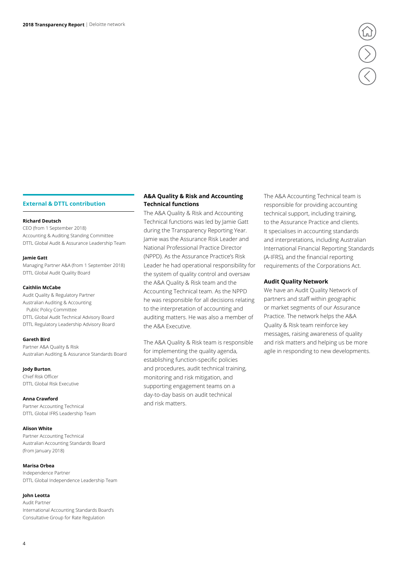### **External & DTTL contribution**

#### **Richard Deutsch**

CEO (from 1 September 2018) Accounting & Auditing Standing Committee DTTL Global Audit & Assurance Leadership Team

#### **Jamie Gatt**

Managing Partner A&A (from 1 September 2018) DTTL Global Audit Quality Board

#### **Caithlin McCabe**

Audit Quality & Regulatory Partner Australian Auditing & Accounting Public Policy Committee DTTL Global Audit Technical Advisory Board DTTL Regulatory Leadership Advisory Board

#### **Gareth Bird**

Partner A&A Quality & Risk Australian Auditing & Assurance Standards Board

**Jody Burton**, Chief Risk Officer

DTTL Global Risk Executive

### **Anna Crawford**

Partner Accounting Technical DTTL Global IFRS Leadership Team

#### **Alison White**

Partner Accounting Technical Australian Accounting Standards Board (from January 2018)

### **Marisa Orbea**

Independence Partner DTTL Global Independence Leadership Team

#### **John Leotta**

Audit Partner International Accounting Standards Board's Consultative Group for Rate Regulation

### **A&A Quality & Risk and Accounting Technical functions**

The A&A Quality & Risk and Accounting Technical functions was led by Jamie Gatt during the Transparency Reporting Year. Jamie was the Assurance Risk Leader and National Professional Practice Director (NPPD). As the Assurance Practice's Risk Leader he had operational responsibility for the system of quality control and oversaw the A&A Quality & Risk team and the Accounting Technical team. As the NPPD he was responsible for all decisions relating to the interpretation of accounting and auditing matters. He was also a member of the A&A Executive.

The A&A Quality & Risk team is responsible for implementing the quality agenda, establishing function-specific policies and procedures, audit technical training, monitoring and risk mitigation, and supporting engagement teams on a day-to-day basis on audit technical and risk matters.

The A&A Accounting Technical team is responsible for providing accounting technical support, including training, to the Assurance Practice and clients. It specialises in accounting standards and interpretations, including Australian International Financial Reporting Standards (A-IFRS), and the financial reporting requirements of the Corporations Act.

### **Audit Quality Network**

We have an Audit Quality Network of partners and staff within geographic or market segments of our Assurance Practice. The network helps the A&A Quality & Risk team reinforce key messages, raising awareness of quality and risk matters and helping us be more agile in responding to new developments.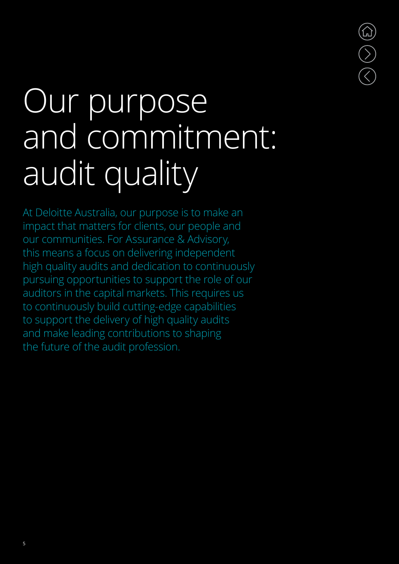# Our purpose and commitment: audit quality

At Deloitte Australia, our purpose is to make an impact that matters for clients, our people and our communities. For Assurance & Advisory, this means a focus on delivering independent high quality audits and dedication to continuously pursuing opportunities to support the role of our auditors in the capital markets. This requires us to continuously build cutting-edge capabilities to support the delivery of high quality audits and make leading contributions to shaping the future of the audit profession.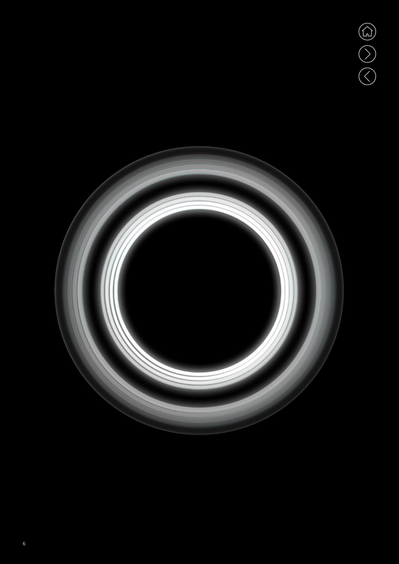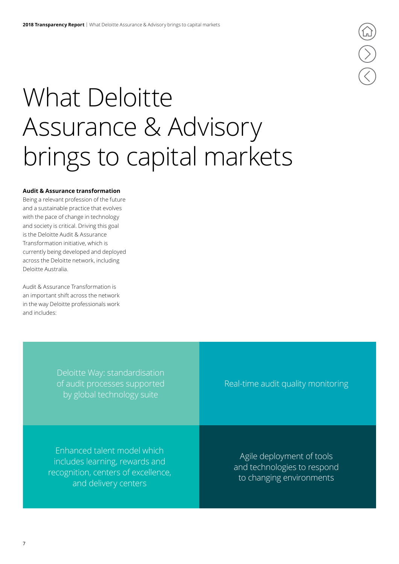### <span id="page-9-0"></span>What Deloitte Assurance & Advisory brings to capital markets

### **Audit & Assurance transformation**

Being a relevant profession of the future and a sustainable practice that evolves with the pace of change in technology and society is critical. Driving this goal is the Deloitte Audit & Assurance Transformation initiative, which is currently being developed and deployed across the Deloitte network, including Deloitte Australia.

Audit & Assurance Transformation is an important shift across the network in the way Deloitte professionals work and includes:

> Deloitte Way: standardisation of audit processes supported by global technology suite

Real-time audit quality monitoring

Enhanced talent model which includes learning, rewards and recognition, centers of excellence, and delivery centers

Agile deployment of tools and technologies to respond to changing environments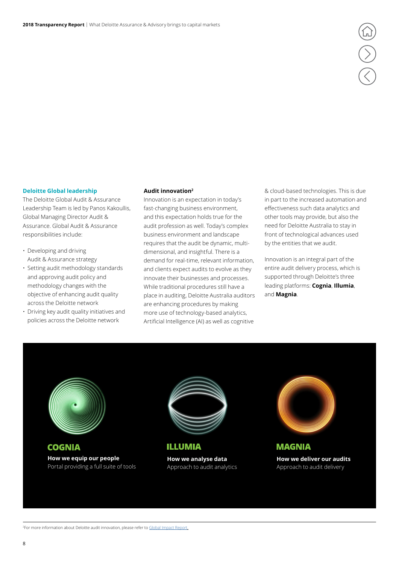### **Deloitte Global leadership**

The Deloitte Global Audit & Assurance Leadership Team is led by Panos Kakoullis, Global Managing Director Audit & Assurance. Global Audit & Assurance responsibilities include:

- Developing and driving Audit & Assurance strategy
- Setting audit methodology standards and approving audit policy and methodology changes with the objective of enhancing audit quality across the Deloitte network
- Driving key audit quality initiatives and policies across the Deloitte network

### **Audit innovation2**

Innovation is an expectation in today's fast-changing business environment, and this expectation holds true for the audit profession as well. Today's complex business environment and landscape requires that the audit be dynamic, multidimensional, and insightful. There is a demand for real-time, relevant information, and clients expect audits to evolve as they innovate their businesses and processes. While traditional procedures still have a place in auditing, Deloitte Australia auditors are enhancing procedures by making more use of technology-based analytics, Artificial Intelligence (AI) as well as cognitive

& cloud-based technologies. This is due in part to the increased automation and effectiveness such data analytics and other tools may provide, but also the need for Deloitte Australia to stay in front of technological advances used by the entities that we audit.

Innovation is an integral part of the entire audit delivery process, which is supported through Deloitte's three leading platforms: **Cognia**, **Illumia**, and **Magnia**.



**COGNIA How we equip our people** Portal providing a full suite of tools



**ILLUMIA How we analyse data** Approach to audit analytics



**MAGNIA How we deliver our audits** Approach to audit delivery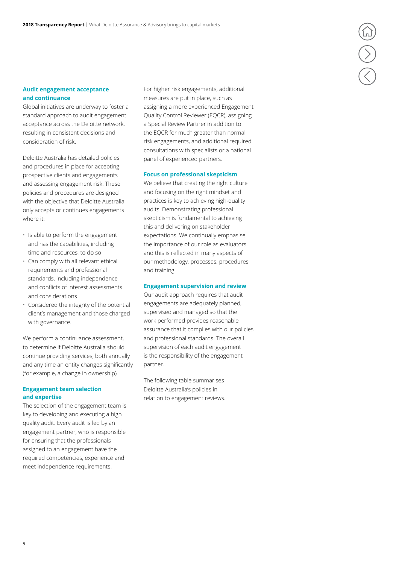### **Audit engagement acceptance and continuance**

Global initiatives are underway to foster a standard approach to audit engagement acceptance across the Deloitte network, resulting in consistent decisions and consideration of risk.

Deloitte Australia has detailed policies and procedures in place for accepting prospective clients and engagements and assessing engagement risk. These policies and procedures are designed with the objective that Deloitte Australia only accepts or continues engagements where it:

- Is able to perform the engagement and has the capabilities, including time and resources, to do so
- Can comply with all relevant ethical requirements and professional standards, including independence and conflicts of interest assessments and considerations
- Considered the integrity of the potential client's management and those charged with governance.

We perform a continuance assessment, to determine if Deloitte Australia should continue providing services, both annually and any time an entity changes significantly (for example, a change in ownership).

### **Engagement team selection and expertise**

The selection of the engagement team is key to developing and executing a high quality audit. Every audit is led by an engagement partner, who is responsible for ensuring that the professionals assigned to an engagement have the required competencies, experience and meet independence requirements.

For higher risk engagements, additional measures are put in place, such as assigning a more experienced Engagement Quality Control Reviewer (EQCR), assigning a Special Review Partner in addition to the EQCR for much greater than normal risk engagements, and additional required consultations with specialists or a national panel of experienced partners.

### **Focus on professional skepticism**

We believe that creating the right culture and focusing on the right mindset and practices is key to achieving high-quality audits. Demonstrating professional skepticism is fundamental to achieving this and delivering on stakeholder expectations. We continually emphasise the importance of our role as evaluators and this is reflected in many aspects of our methodology, processes, procedures and training.

### **Engagement supervision and review**

Our audit approach requires that audit engagements are adequately planned, supervised and managed so that the work performed provides reasonable assurance that it complies with our policies and professional standards. The overall supervision of each audit engagement is the responsibility of the engagement partner.

The following table summarises Deloitte Australia's policies in relation to engagement reviews.

9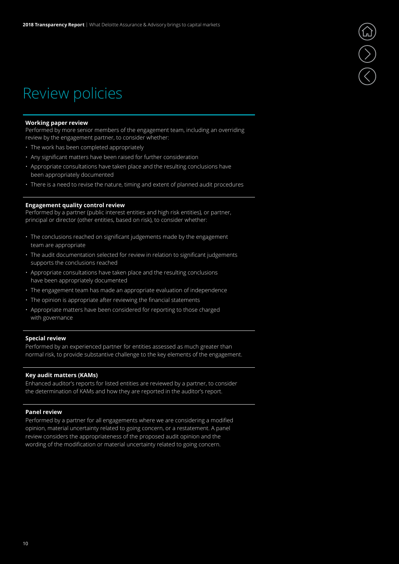# **2018 Transparency Report** | Aspire with a[ssurance](#page-2-0)

### Review policies

### **Working paper review**

Performed by more senior members of the engagement team, including an overriding review by the engagement partner, to consider whether:

- The work has been completed appropriately
- Any significant matters have been raised for further consideration
- Appropriate consultations have taken place and the resulting conclusions have been appropriately documented
- There is a need to revise the nature, timing and extent of planned audit procedures

### **Engagement quality control review**

Performed by a partner (public interest entities and high risk entities), or partner, principal or director (other entities, based on risk), to consider whether:

- The conclusions reached on significant judgements made by the engagement team are appropriate
- The audit documentation selected for review in relation to significant judgements supports the conclusions reached
- Appropriate consultations have taken place and the resulting conclusions have been appropriately documented
- The engagement team has made an appropriate evaluation of independence
- The opinion is appropriate after reviewing the financial statements
- Appropriate matters have been considered for reporting to those charged with governance

### **Special review**

Performed by an experienced partner for entities assessed as much greater than normal risk, to provide substantive challenge to the key elements of the engagement.

### **Key audit matters (KAMs)**

Enhanced auditor's reports for listed entities are reviewed by a partner, to consider the determination of KAMs and how they are reported in the auditor's report.

### **Panel review**

Performed by a partner for all engagements where we are considering a modified opinion, material uncertainty related to going concern, or a restatement. A panel review considers the appropriateness of the proposed audit opinion and the wording of the modification or material uncertainty related to going concern.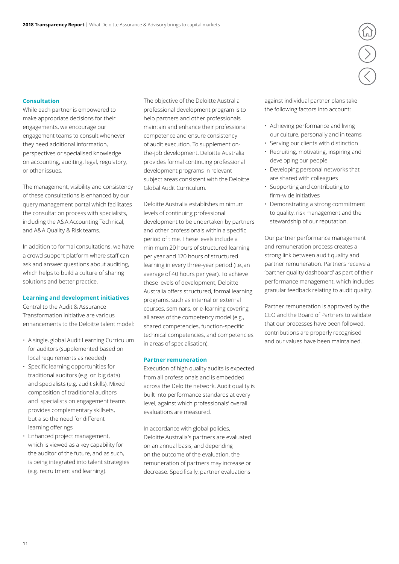### **Consultation**

While each partner is empowered to make appropriate decisions for their engagements, we encourage our engagement teams to consult whenever they need additional information, perspectives or specialised knowledge on accounting, auditing, legal, regulatory, or other issues.

The management, visibility and consistency of these consultations is enhanced by our query management portal which facilitates the consultation process with specialists, including the A&A Accounting Technical, and A&A Quality & Risk teams.

In addition to formal consultations, we have a crowd support platform where staff can ask and answer questions about auditing, which helps to build a culture of sharing solutions and better practice.

### **Learning and development initiatives**

Central to the Audit & Assurance Transformation initiative are various enhancements to the Deloitte talent model:

- A single, global Audit Learning Curriculum for auditors (supplemented based on local requirements as needed)
- Specific learning opportunities for traditional auditors (e.g. on big data) and specialists (e.g. audit skills). Mixed composition of traditional auditors and specialists on engagement teams provides complementary skillsets, but also the need for different learning offerings
- Enhanced project management, which is viewed as a key capability for the auditor of the future, and as such, is being integrated into talent strategies (e.g. recruitment and learning).

The objective of the Deloitte Australia professional development program is to help partners and other professionals maintain and enhance their professional competence and ensure consistency of audit execution. To supplement onthe-job development, Deloitte Australia provides formal continuing professional development programs in relevant subject areas consistent with the Deloitte Global Audit Curriculum.

Deloitte Australia establishes minimum levels of continuing professional development to be undertaken by partners and other professionals within a specific period of time. These levels include a minimum 20 hours of structured learning per year and 120 hours of structured learning in every three-year period (i.e.,an average of 40 hours per year). To achieve these levels of development, Deloitte Australia offers structured, formal learning programs, such as internal or external courses, seminars, or e-learning covering all areas of the competency model (e.g., shared competencies, function-specific technical competencies, and competencies in areas of specialisation).

### **Partner remuneration**

Execution of high quality audits is expected from all professionals and is embedded across the Deloitte network. Audit quality is built into performance standards at every level, against which professionals' overall evaluations are measured.

In accordance with global policies, Deloitte Australia's partners are evaluated on an annual basis, and depending on the outcome of the evaluation, the remuneration of partners may increase or decrease. Specifically, partner evaluations

against individual partner plans take the following factors into account:

- Achieving performance and living our culture, personally and in teams
- Serving our clients with distinction
- Recruiting, motivating, inspiring and developing our people
- Developing personal networks that are shared with colleagues
- Supporting and contributing to firm-wide initiatives
- Demonstrating a strong commitment to quality, risk management and the stewardship of our reputation.

Our partner performance management and remuneration process creates a strong link between audit quality and partner remuneration. Partners receive a 'partner quality dashboard' as part of their performance management, which includes granular feedback relating to audit quality.

Partner remuneration is approved by the CEO and the Board of Partners to validate that our processes have been followed, contributions are properly recognised and our values have been maintained.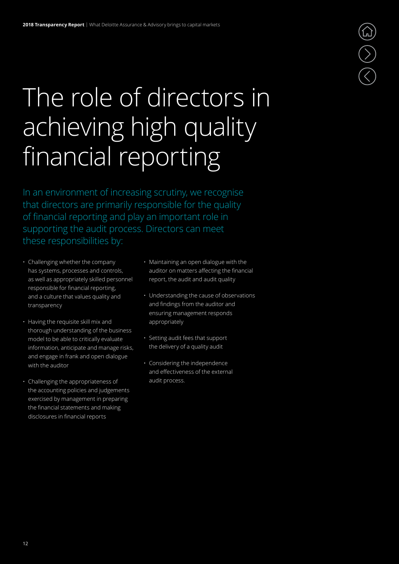## The role of directors in achieving high quality financial reporting

In an environment of increasing scrutiny, we recognise that directors are primarily responsible for the quality of financial reporting and play an important role in supporting the audit process. Directors can meet these responsibilities by:

- Challenging whether the company has systems, processes and controls, as well as appropriately skilled personnel responsible for financial reporting, and a culture that values quality and transparency
- Having the requisite skill mix and thorough understanding of the business model to be able to critically evaluate information, anticipate and manage risks, and engage in frank and open dialogue with the auditor
- Challenging the appropriateness of the accounting policies and judgements exercised by management in preparing the financial statements and making disclosures in financial reports
- Maintaining an open dialogue with the auditor on matters affecting the financial report, the audit and audit quality
- Understanding the cause of observations and findings from the auditor and ensuring management responds appropriately
- Setting audit fees that support the delivery of a quality audit
- Considering the independence and effectiveness of the external audit process.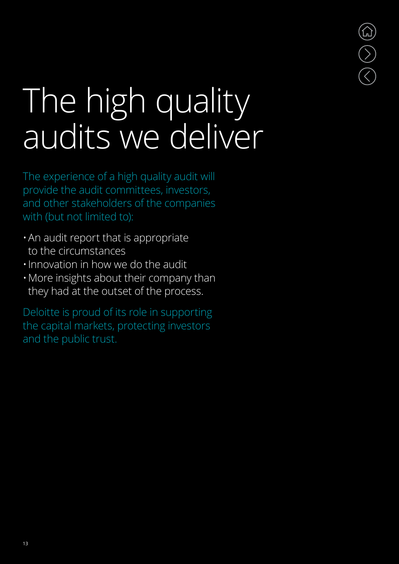

# The high quality audits we deliver

The experience of a high quality audit will provide the audit committees, investors, and other stakeholders of the companies with (but not limited to):

- •An audit report that is appropriate to the circumstances
- •Innovation in how we do the audit
- •More insights about their company than they had at the outset of the process.

Deloitte is proud of its role in supporting the capital markets, protecting investors and the public trust.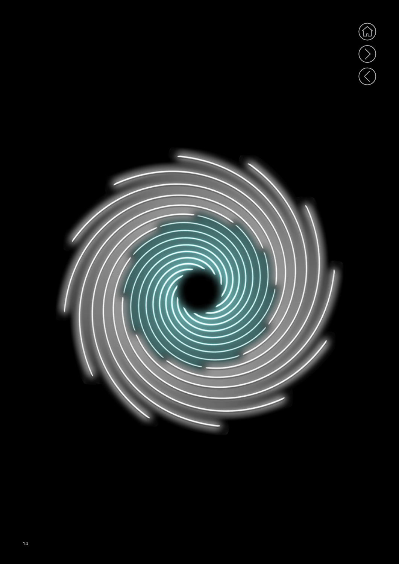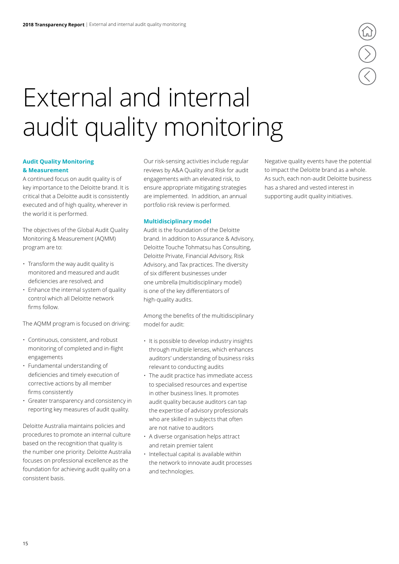### <span id="page-17-0"></span>External and internal audit quality monitoring

### **Audit Quality Monitoring & Measurement**

A continued focus on audit quality is of key importance to the Deloitte brand. It is critical that a Deloitte audit is consistently executed and of high quality, wherever in the world it is performed.

The objectives of the Global Audit Quality Monitoring & Measurement (AQMM) program are to:

- Transform the way audit quality is monitored and measured and audit deficiencies are resolved; and
- Enhance the internal system of quality control which all Deloitte network firms follow.

The AQMM program is focused on driving:

- Continuous, consistent, and robust monitoring of completed and in-flight engagements
- Fundamental understanding of deficiencies and timely execution of corrective actions by all member firms consistently
- Greater transparency and consistency in reporting key measures of audit quality.

Deloitte Australia maintains policies and procedures to promote an internal culture based on the recognition that quality is the number one priority. Deloitte Australia focuses on professional excellence as the foundation for achieving audit quality on a consistent basis.

Our risk-sensing activities include regular reviews by A&A Quality and Risk for audit engagements with an elevated risk, to ensure appropriate mitigating strategies are implemented. In addition, an annual portfolio risk review is performed.

### **Multidisciplinary model**

Audit is the foundation of the Deloitte brand. In addition to Assurance & Advisory, Deloitte Touche Tohmatsu has Consulting, Deloitte Private, Financial Advisory, Risk Advisory, and Tax practices. The diversity of six different businesses under one umbrella (multidisciplinary model) is one of the key differentiators of high-quality audits.

Among the benefits of the multidisciplinary model for audit:

- It is possible to develop industry insights through multiple lenses, which enhances auditors' understanding of business risks relevant to conducting audits
- The audit practice has immediate access to specialised resources and expertise in other business lines. It promotes audit quality because auditors can tap the expertise of advisory professionals who are skilled in subjects that often are not native to auditors
- A diverse organisation helps attract and retain premier talent
- Intellectual capital is available within the network to innovate audit processes and technologies.

Negative quality events have the potential to impact the Deloitte brand as a whole. As such, each non-audit Deloitte business has a shared and vested interest in supporting audit quality initiatives.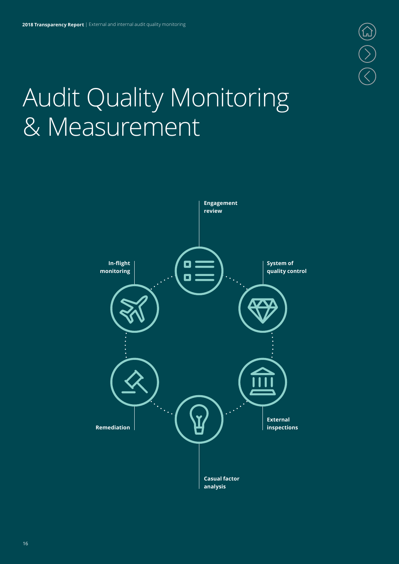

### Audit Quality Monitoring & Measurement

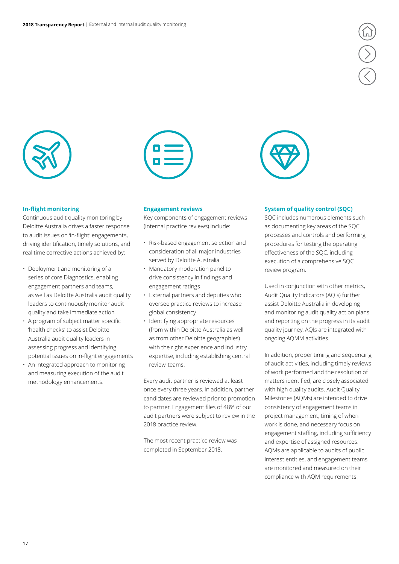

### **In-flight monitoring**

Continuous audit quality monitoring by Deloitte Australia drives a faster response to audit issues on 'in-flight' engagements, driving identification, timely solutions, and real time corrective actions achieved by:

- Deployment and monitoring of a series of core Diagnostics, enabling engagement partners and teams, as well as Deloitte Australia audit quality leaders to continuously monitor audit quality and take immediate action
- A program of subject matter specific 'health checks' to assist Deloitte Australia audit quality leaders in assessing progress and identifying potential issues on in-flight engagements
- An integrated approach to monitoring and measuring execution of the audit methodology enhancements.



### **Engagement reviews**

Key components of engagement reviews (internal practice reviews) include:

- Risk-based engagement selection and consideration of all major industries served by Deloitte Australia
- Mandatory moderation panel to drive consistency in findings and engagement ratings
- External partners and deputies who oversee practice reviews to increase global consistency
- Identifying appropriate resources (from within Deloitte Australia as well as from other Deloitte geographies) with the right experience and industry expertise, including establishing central review teams.

Every audit partner is reviewed at least once every three years. In addition, partner candidates are reviewed prior to promotion to partner. Engagement files of 48% of our audit partners were subject to review in the 2018 practice review.

The most recent practice review was completed in September 2018.



### **System of quality control (SQC)**

SQC includes numerous elements such as documenting key areas of the SQC processes and controls and performing procedures for testing the operating effectiveness of the SQC, including execution of a comprehensive SQC review program.

Used in conjunction with other metrics, Audit Quality Indicators (AQIs) further assist Deloitte Australia in developing and monitoring audit quality action plans and reporting on the progress in its audit quality journey. AQIs are integrated with ongoing AQMM activities.

In addition, proper timing and sequencing of audit activities, including timely reviews of work performed and the resolution of matters identified, are closely associated with high quality audits. Audit Quality Milestones (AQMs) are intended to drive consistency of engagement teams in project management, timing of when work is done, and necessary focus on engagement staffing, including sufficiency and expertise of assigned resources. AQMs are applicable to audits of public interest entities, and engagement teams are monitored and measured on their compliance with AQM requirements.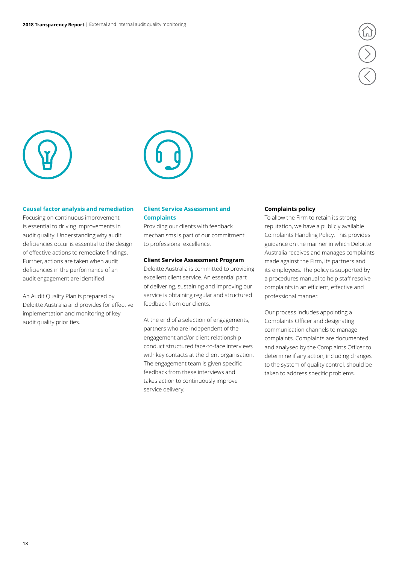

### **Causal factor analysis and remediation**

Focusing on continuous improvement is essential to driving improvements in audit quality. Understanding why audit deficiencies occur is essential to the design of effective actions to remediate findings. Further, actions are taken when audit deficiencies in the performance of an audit engagement are identified.

An Audit Quality Plan is prepared by Deloitte Australia and provides for effective implementation and monitoring of key audit quality priorities.



### **Client Service Assessment and Complaints**

Providing our clients with feedback mechanisms is part of our commitment to professional excellence.

### **Client Service Assessment Program**

Deloitte Australia is committed to providing excellent client service. An essential part of delivering, sustaining and improving our service is obtaining regular and structured feedback from our clients.

At the end of a selection of engagements, partners who are independent of the engagement and/or client relationship conduct structured face-to-face interviews with key contacts at the client organisation. The engagement team is given specific feedback from these interviews and takes action to continuously improve service delivery.

### **Complaints policy**

To allow the Firm to retain its strong reputation, we have a publicly available Complaints Handling Policy. This provides guidance on the manner in which Deloitte Australia receives and manages complaints made against the Firm, its partners and its employees. The policy is supported by a procedures manual to help staff resolve complaints in an efficient, effective and professional manner.

Our process includes appointing a Complaints Officer and designating communication channels to manage complaints. Complaints are documented and analysed by the Complaints Officer to determine if any action, including changes to the system of quality control, should be taken to address specific problems.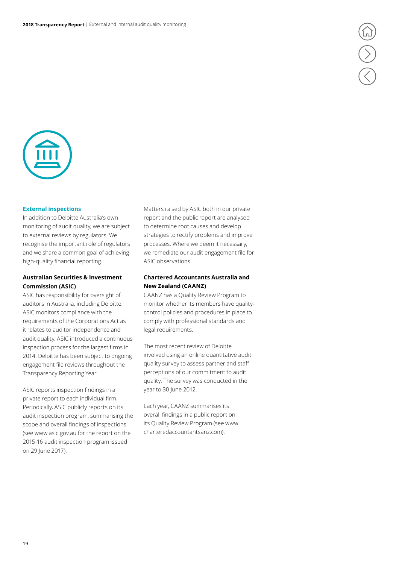# $\frac{1}{2}$



### **External inspections**

In addition to Deloitte Australia's own monitoring of audit quality, we are subject to external reviews by regulators. We recognise the important role of regulators and we share a common goal of achieving high-quality financial reporting.

### **Australian Securities & Investment Commission (ASIC)**

ASIC has responsibility for oversight of auditors in Australia, including Deloitte. ASIC monitors compliance with the requirements of the Corporations Act as it relates to auditor independence and audit quality. ASIC introduced a continuous inspection process for the largest firms in 2014. Deloitte has been subject to ongoing engagement file reviews throughout the Transparency Reporting Year.

ASIC reports inspection findings in a private report to each individual firm. Periodically, ASIC publicly reports on its audit inspection program, summarising the scope and overall findings of inspections (see www.asic.gov.au for the report on the 2015-16 audit inspection program issued on 29 June 2017).

Matters raised by ASIC both in our private report and the public report are analysed to determine root causes and develop strategies to rectify problems and improve processes. Where we deem it necessary, we remediate our audit engagement file for ASIC observations.

### **Chartered Accountants Australia and New Zealand (CAANZ)**

CAANZ has a Quality Review Program to monitor whether its members have qualitycontrol policies and procedures in place to comply with professional standards and legal requirements.

The most recent review of Deloitte involved using an online quantitative audit quality survey to assess partner and staff perceptions of our commitment to audit quality. The survey was conducted in the year to 30 June 2012.

Each year, CAANZ summarises its overall findings in a public report on its Quality Review Program (see www. charteredaccountantsanz.com).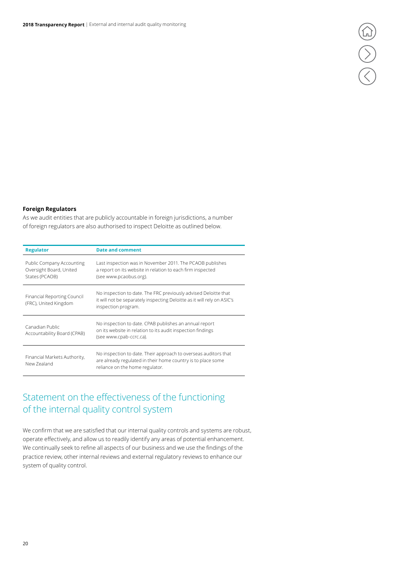### **Foreign Regulators**

As we audit entities that are publicly accountable in foreign jurisdictions, a number of foreign regulators are also authorised to inspect Deloitte as outlined below.

| <b>Regulator</b>                                                       | <b>Date and comment</b>                                                                                                                                            |
|------------------------------------------------------------------------|--------------------------------------------------------------------------------------------------------------------------------------------------------------------|
| Public Company Accounting<br>Oversight Board, United<br>States (PCAOB) | Last inspection was in November 2011. The PCAOB publishes<br>a report on its website in relation to each firm inspected<br>(see www.pcaobus.org).                  |
| <b>Financial Reporting Council</b><br>(FRC), United Kingdom            | No inspection to date. The FRC previously advised Deloitte that<br>it will not be separately inspecting Deloitte as it will rely on ASIC's<br>inspection program.  |
| Canadian Public<br>Accountability Board (CPAB)                         | No inspection to date. CPAB publishes an annual report<br>on its website in relation to its audit inspection findings<br>(see www.cpab-ccrc.ca).                   |
| Financial Markets Authority,<br>New Zealand                            | No inspection to date. Their approach to overseas auditors that<br>are already regulated in their home country is to place some<br>reliance on the home regulator. |

### Statement on the effectiveness of the functioning of the internal quality control system

We confirm that we are satisfied that our internal quality controls and systems are robust, operate effectively, and allow us to readily identify any areas of potential enhancement. We continually seek to refine all aspects of our business and we use the findings of the practice review, other internal reviews and external regulatory reviews to enhance our system of quality control.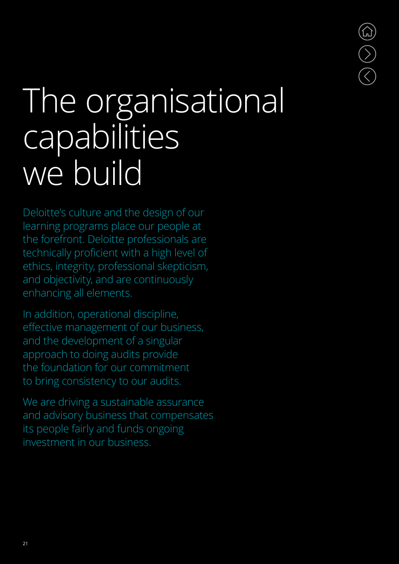

# The organisational capabilities we build

Deloitte's culture and the design of our learning programs place our people at the forefront. Deloitte professionals are technically proficient with a high level of ethics, integrity, professional skepticism, and objectivity, and are continuously enhancing all elements.

In addition, operational discipline, effective management of our business, and the development of a singular approach to doing audits provide the foundation for our commitment to bring consistency to our audits.

We are driving a sustainable assurance and advisory business that compensates its people fairly and funds ongoing investment in our business.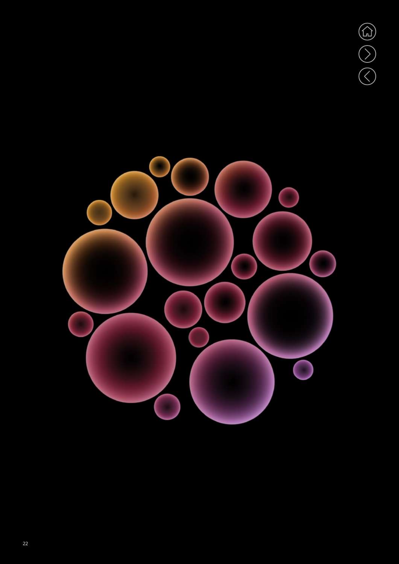

 $\textcircled{\footnotesize{2}} \textcircled{\footnotesize{2}}$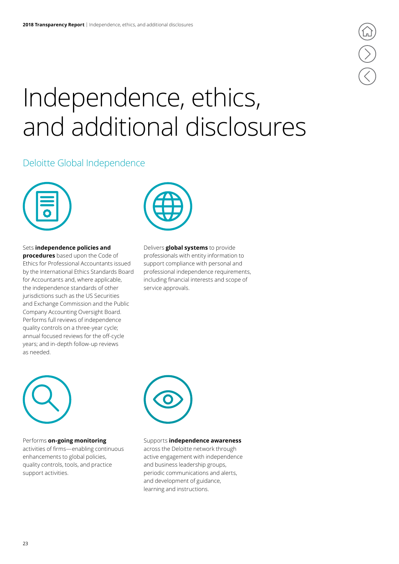### <span id="page-25-0"></span>Independence, ethics, and additional disclosures

### Deloitte Global Independence



### Sets **independence policies and**

**procedures** based upon the Code of Ethics for Professional Accountants issued by the International Ethics Standards Board for Accountants and, where applicable, the independence standards of other jurisdictions such as the US Securities and Exchange Commission and the Public Company Accounting Oversight Board. Performs full reviews of independence quality controls on a three-year cycle; annual focused reviews for the off-cycle years; and in-depth follow-up reviews as needed.



Delivers **global systems** to provide professionals with entity information to support compliance with personal and professional independence requirements, including financial interests and scope of service approvals.



Performs **on-going monitoring** activities of firms—enabling continuous enhancements to global policies, quality controls, tools, and practice support activities.



Supports **independence awareness**

across the Deloitte network through active engagement with independence and business leadership groups, periodic communications and alerts, and development of guidance, learning and instructions.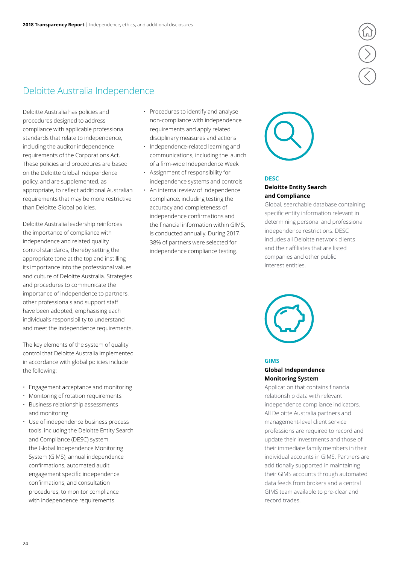### Deloitte Australia Independence

Deloitte Australia has policies and procedures designed to address compliance with applicable professional standards that relate to independence, including the auditor independence requirements of the Corporations Act. These policies and procedures are based on the Deloitte Global Independence policy, and are supplemented, as appropriate, to reflect additional Australian requirements that may be more restrictive than Deloitte Global policies.

Deloitte Australia leadership reinforces the importance of compliance with independence and related quality control standards, thereby setting the appropriate tone at the top and instilling its importance into the professional values and culture of Deloitte Australia. Strategies and procedures to communicate the importance of independence to partners, other professionals and support staff have been adopted, emphasising each individual's responsibility to understand and meet the independence requirements.

The key elements of the system of quality control that Deloitte Australia implemented in accordance with global policies include the following:

- Engagement acceptance and monitoring
- Monitoring of rotation requirements
- Business relationship assessments and monitoring
- Use of independence business process tools, including the Deloitte Entity Search and Compliance (DESC) system, the Global Independence Monitoring System (GIMS), annual independence confirmations, automated audit engagement specific independence confirmations, and consultation procedures, to monitor compliance with independence requirements
- Procedures to identify and analyse non-compliance with independence requirements and apply related disciplinary measures and actions
- Independence-related learning and communications, including the launch of a firm-wide Independence Week
- Assignment of responsibility for independence systems and controls
- An internal review of independence compliance, including testing the accuracy and completeness of independence confirmations and the financial information within GIMS, is conducted annually. During 2017, 38% of partners were selected for independence compliance testing.



### **DESC Deloitte Entity Search and Compliance**

Global, searchable database containing specific entity information relevant in determining personal and professional independence restrictions. DESC includes all Deloitte network clients and their affiliates that are listed companies and other public interest entities.



### **GIMS**

### **Global Independence Monitoring System**

Application that contains financial relationship data with relevant independence compliance indicators. All Deloitte Australia partners and management-level client service professions are required to record and update their investments and those of their immediate family members in their individual accounts in GIMS. Partners are additionally supported in maintaining their GIMS accounts through automated data feeds from brokers and a central GIMS team available to pre-clear and record trades.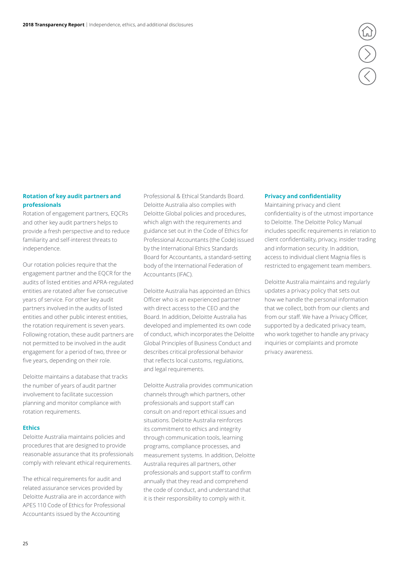### **Rotation of key audit partners and professionals**

Rotation of engagement partners, EQCRs and other key audit partners helps to provide a fresh perspective and to reduce familiarity and self-interest threats to independence.

Our rotation policies require that the engagement partner and the EQCR for the audits of listed entities and APRA-regulated entities are rotated after five consecutive years of service. For other key audit partners involved in the audits of listed entities and other public interest entities, the rotation requirement is seven years. Following rotation, these audit partners are not permitted to be involved in the audit engagement for a period of two, three or five years, depending on their role.

Deloitte maintains a database that tracks the number of years of audit partner involvement to facilitate succession planning and monitor compliance with rotation requirements.

### **Ethics**

Deloitte Australia maintains policies and procedures that are designed to provide reasonable assurance that its professionals comply with relevant ethical requirements.

The ethical requirements for audit and related assurance services provided by Deloitte Australia are in accordance with APES 110 Code of Ethics for Professional Accountants issued by the Accounting

Professional & Ethical Standards Board. Deloitte Australia also complies with Deloitte Global policies and procedures, which align with the requirements and guidance set out in the Code of Ethics for Professional Accountants (the Code) issued by the International Ethics Standards Board for Accountants, a standard-setting body of the International Federation of Accountants (IFAC).

Deloitte Australia has appointed an Ethics Officer who is an experienced partner with direct access to the CEO and the Board. In addition, Deloitte Australia has developed and implemented its own code of conduct, which incorporates the Deloitte Global Principles of Business Conduct and describes critical professional behavior that reflects local customs, regulations, and legal requirements.

Deloitte Australia provides communication channels through which partners, other professionals and support staff can consult on and report ethical issues and situations. Deloitte Australia reinforces its commitment to ethics and integrity through communication tools, learning programs, compliance processes, and measurement systems. In addition, Deloitte Australia requires all partners, other professionals and support staff to confirm annually that they read and comprehend the code of conduct, and understand that it is their responsibility to comply with it.

### **Privacy and confidentiality**

Maintaining privacy and client confidentiality is of the utmost importance to Deloitte. The Deloitte Policy Manual includes specific requirements in relation to client confidentiality, privacy, insider trading and information security. In addition, access to individual client Magnia files is restricted to engagement team members.

Deloitte Australia maintains and regularly updates a privacy policy that sets out how we handle the personal information that we collect, both from our clients and from our staff. We have a Privacy Officer, supported by a dedicated privacy team, who work together to handle any privacy inquiries or complaints and promote privacy awareness.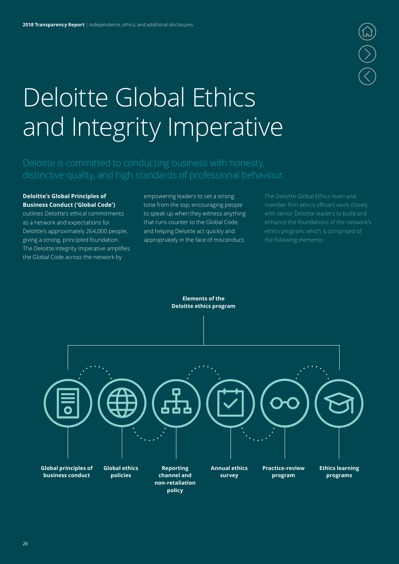## Deloitte Global Ethics and Integrity Imperative

### **Deloitte's Global Principles of Business Conduct ('Global Code')**

outlines Deloitte's ethical commitments as a network and expectations for Deloitte's approximately 264,000 people, giving a strong, principled foundation. The Deloitte Integrity Imperative amplifies the Global Code across the network by

empowering leaders to set a strong tone from the top; encouraging people to speak up when they witness anything that runs counter to the Global Code; and helping Deloitte act quickly and appropriately in the face of misconduct.

The Deloitte Global Ethics team and member firm ethics officers work closely with senior Deloitte leaders to build and enhance the foundations of the network's ethics program, which is comprised of the following elements:

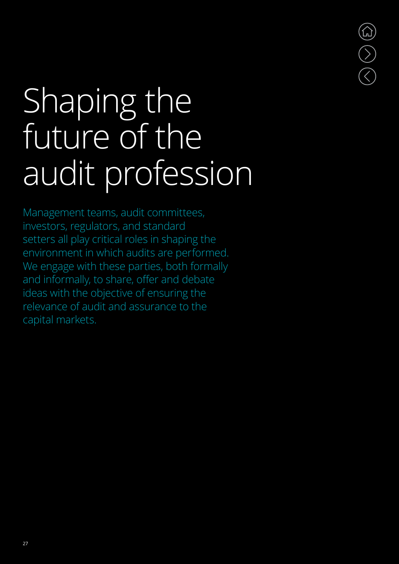# Shaping the future of the audit profession

Management teams, audit committees, investors, regulators, and standard setters all play critical roles in shaping the environment in which audits are performed. We engage with these parties, both formally and informally, to share, offer and debate ideas with the objective of ensuring the relevance of audit and assurance to the capital markets.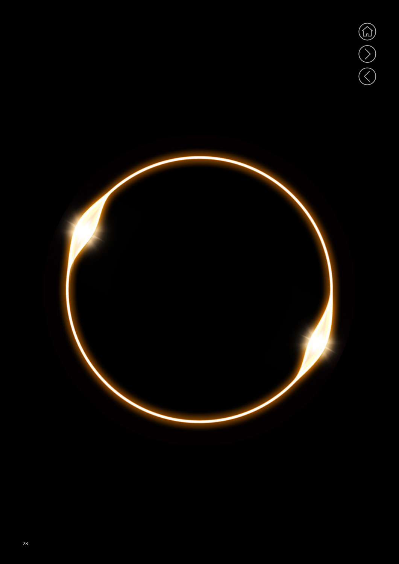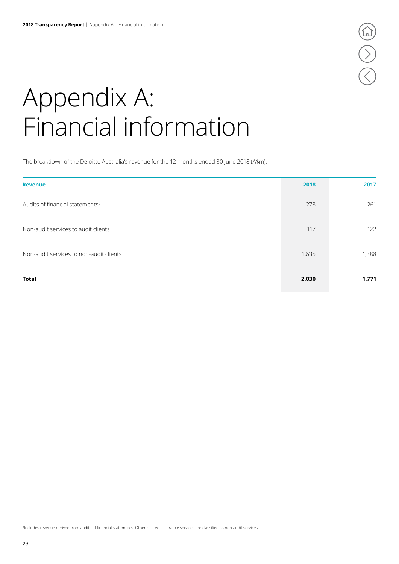

### <span id="page-31-0"></span>Appendix A: Financial information

The breakdown of the Deloitte Australia's revenue for the 12 months ended 30 June 2018 (A\$m):

| <b>Revenue</b>                              | 2018  | 2017  |
|---------------------------------------------|-------|-------|
| Audits of financial statements <sup>3</sup> | 278   | 261   |
| Non-audit services to audit clients         | 117   | 122   |
| Non-audit services to non-audit clients     | 1,635 | 1,388 |
| <b>Total</b>                                | 2,030 | 1,771 |

3 Includes revenue derived from audits of financial statements. Other related assurance services are classified as non-audit services.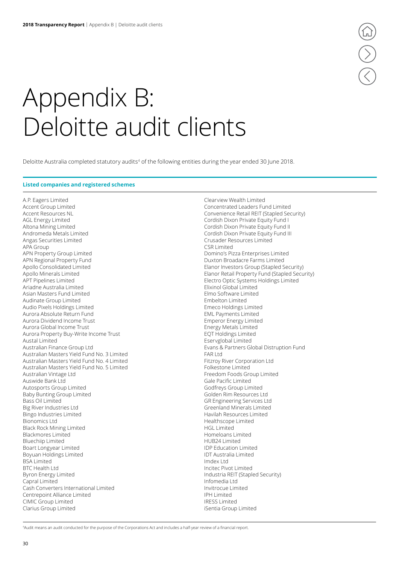### <span id="page-32-0"></span>Appendix B: Deloitte audit clients

Deloitte Australia completed statutory audits<sup>4</sup> of the following entities during the year ended 30 June 2018.

#### **Listed companies and registered schemes**

A.P. Eagers Limited Accent Group Limited Accent Resources NL AGL Energy Limited Altona Mining Limited Andromeda Metals Limited Angas Securities Limited APA Group APN Property Group Limited APN Regional Property Fund Apollo Consolidated Limited Apollo Minerals Limited APT Pipelines Limited Ariadne Australia Limited Asian Masters Fund Limited Audinate Group Limited Audio Pixels Holdings Limited Aurora Absolute Return Fund Aurora Dividend Income Trust Aurora Global Income Trust Aurora Property Buy-Write Income Trust Austal Limited Australian Finance Group Ltd Australian Masters Yield Fund No. 3 Limited Australian Masters Yield Fund No. 4 Limited Australian Masters Yield Fund No. 5 Limited Australian Vintage Ltd Auswide Bank Ltd Autosports Group Limited Baby Bunting Group Limited Bass Oil Limited Big River Industries Ltd Bingo Industries Limited Bionomics Ltd Black Rock Mining Limited Blackmores Limited Bluechiip Limited Boart Longyear Limited Boyuan Holdings Limited BSA Limited BTC Health Ltd Byron Energy Limited Capral Limited Cash Converters International Limited Centrepoint Alliance Limited CIMIC Group Limited Clarius Group Limited

Clearview Wealth Limited Concentrated Leaders Fund Limited Convenience Retail REIT (Stapled Security) Cordish Dixon Private Equity Fund I Cordish Dixon Private Equity Fund II Cordish Dixon Private Equity Fund III Crusader Resources Limited CSR Limited Domino's Pizza Enterprises Limited Duxton Broadacre Farms Limited Elanor Investors Group (Stapled Security) Elanor Retail Property Fund (Stapled Security) Electro Optic Systems Holdings Limited Elixinol Global Limited Elmo Software Limited Embelton Limited Emeco Holdings Limited EML Payments Limited Emperor Energy Limited Energy Metals Limited EQT Holdings Limited Eservglobal Limited Evans & Partners Global Distruption Fund FAR Ltd Fitzroy River Corporation Ltd Folkestone Limited Freedom Foods Group Limited Gale Pacific Limited Godfreys Group Limited Golden Rim Resources Ltd GR Engineering Services Ltd Greenland Minerals Limited Havilah Resources Limited Healthscope Limited HGL Limited Homeloans Limited HUB24 Limited IDP Education Limited IDT Australia Limited Imdex Ltd Incitec Pivot Limited Industria REIT (Stapled Security) Infomedia Ltd Invitrocue Limited IPH Limited IRESS Limited iSentia Group Limited

4 Audit means an audit conducted for the purpose of the Corporations Act and includes a half-year review of a financial report.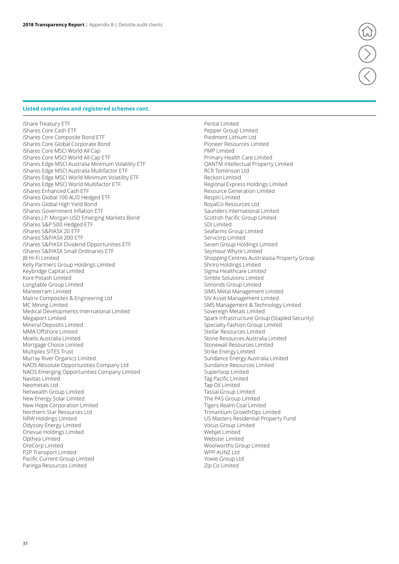#### **Listed companies and registered schemes cont.**

iShare Treasury ETF iShares Core Cash ETF iShares Core Composite Bond ETF iShares Core Global Corporate Bond iShares Core MSCI World All Cap iShares Core MSCI World All Cap ETF iShares Edge MSCI Australia Minimum Volatility ETF iShares Edge MSCI Australia Multifactor ETF iShares Edge MSCI World Minimum Volatility ETF iShares Edge MSCI World Multifactor ETF iShares Enhanced Cash ETF iShares Global 100 AUD Hedged ETF iShares Global High Yield Bond iShares Government Inflation ETF iShares J.P. Morgan USD Emerging Markets Bond iShares S&P 500 Hedged ETF iShares S&P/ASX 20 ETF iShares S&P/ASX 200 ETF iShares S&P/ASX Dividend Opportunities ETF iShares S&P/ASX Small Ordinaries ETF JB Hi-Fi Limited Kelly Partners Group Holdings Limited Keybridge Capital Limited Kore Potash Limited Longtable Group Limited Mareterram Limited Matrix Composites & Engineering Ltd MC Mining Limited Medical Developments International Limited Megaport Limited Mineral Deposits Limited MMA Offshore Limited Moelis Australia Limited Mortgage Choice Limited Multiplex SITES Trust Murray River Organics Limited NAOS Absolute Opportunities Company Ltd NAOS Emerging Opportunities Company Limited Navitas Limited Neometals Ltd Netwealth Group Limited New Energy Solar Limited New Hope Corporation Limited Northern Star Resources Ltd NRW Holdings Limited Odyssey Energy Limited Onevue Holdings Limited Opthea Limited OreCorp Limited P2P Transport Limited Pacific Current Group Limited Paringa Resources Limited

Pental Limited Pepper Group Limited Piedmont Lithium Ltd Pioneer Resources Limited PMP Limited Primary Health Care Limited QANTM Intellectual Property Limited RCR Tomlinson Ltd Reckon Limited Regional Express Holdings Limited Resource Generation Limited Respiri Limited RoyalCo Resources Ltd Saunders International Limited Scottish Pacific Group Limited SDI Limited Seafarms Group Limited Servcorp Limited Seven Group Holdings Limited Seymour Whyte Limited Shopping Centres Australasia Property Group Shriro Holdings Limited Sigma Healthcare Limited Simble Solutions Limited Simonds Group Limited SIMS Metal Management Limited SIV Asset Management Limited SMS Management & Technology Limited Sovereign Metals Limited Spark Infrastructure Group (Stapled Security) Specialty Fashion Group Limited Stellar Resources Limited Stone Resources Australia Limited Stonewall Resources Limited Strike Energy Limited Sundance Energy Australia Limited Sundance Resources Limited Superloop Limited Tag Pacific Limited Tap Oil Limited Tassal Group Limited The PAS Group Limited Tigers Realm Coal Limited Trimantium GrowthOps Limited US Masters Residential Property Fund Vocus Group Limited Webjet Limited Webster Limited Woolworths Group Limited WPP AUNZ Ltd Yowie Group Ltd Zip Co Limited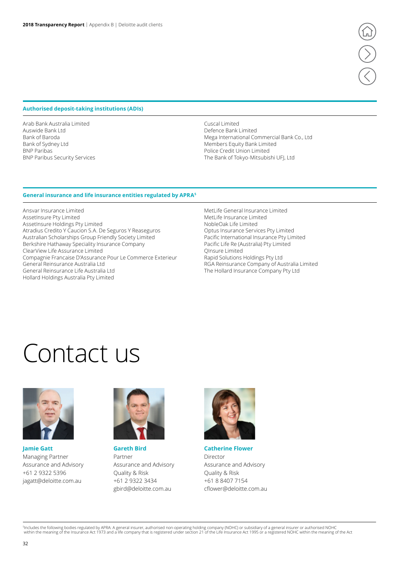### **Authorised deposit-taking institutions (ADIs)**

Arab Bank Australia Limited Auswide Bank Ltd Bank of Baroda Bank of Sydney Ltd BNP Paribas BNP Paribus Security Services

Cuscal Limited Defence Bank Limited Mega International Commercial Bank Co., Ltd Members Equity Bank Limited Police Credit Union Limited The Bank of Tokyo-Mitsubishi UFJ, Ltd

### **General insurance and life insurance entities regulated by APRA5**

Ansvar Insurance Limited AssetInsure Pty Limited AssetInsure Holdings Pty Limited Atradius Credito Y Caucion S.A. De Seguros Y Reaseguros Australian Scholarships Group Friendly Society Limited Berkshire Hathaway Speciality Insurance Company ClearView Life Assurance Limited Compagnie Francaise D'Assurance Pour Le Commerce Exterieur General Reinsurance Australia Ltd General Reinsurance Life Australia Ltd Hollard Holdings Australia Pty Limited

MetLife General Insurance Limited MetLife Insurance Limited NobleOak Life Limited Optus Insurance Services Pty Limited Pacific International Insurance Pty Limited Pacific Life Re (Australia) Pty Limited QInsure Limited Rapid Solutions Holdings Pty Ltd RGA Reinsurance Company of Australia Limited The Hollard Insurance Company Pty Ltd

### Contact us



**Jamie Gatt** Managing Partner Assurance and Advisory +61 2 9322 5396 jagatt@deloitte.com.au



**Gareth Bird**  Partner Assurance and Advisory Quality & Risk +61 2 9322 3434 gbird@deloitte.com.au



**Catherine Flower** Director Assurance and Advisory Quality & Risk +61 8 8407 7154 cflower@deloitte.com.au

<sup>s</sup>includes the following bodies regulated by APRA: A general insurer, authorised non-operating holding company (NOHC) or subsidiary of a general insurer or authorised NOHC<br>within the meaning of the Insurance Act 1973 and